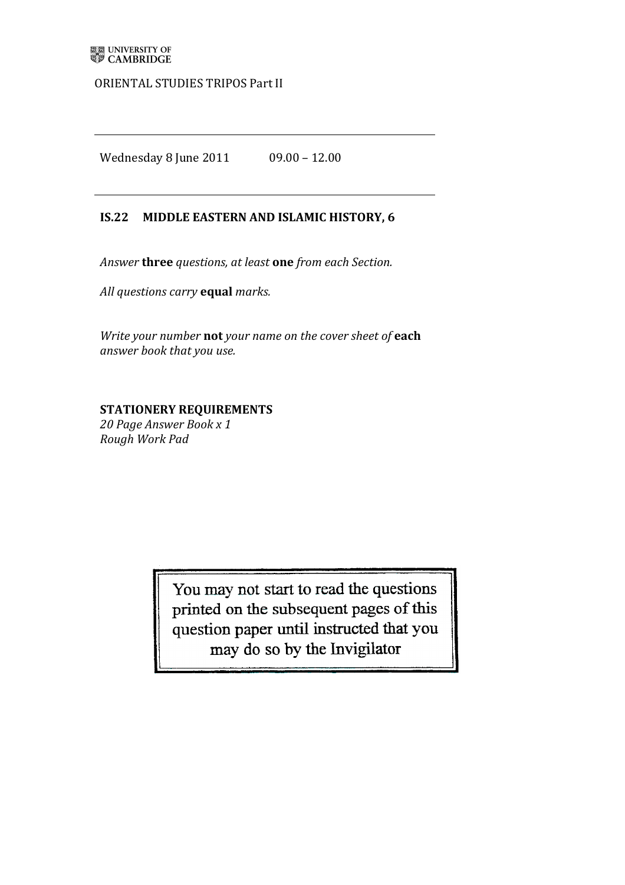### ORIENTAL STUDIES TRIPOS Part II

Wednesday 8 June 2011 09.00 - 12.00

### **IS.22 MIDDLE EASTERN AND ISLAMIC HISTORY, 6**

Answer **three** questions, at least one from each Section.

*All'questions'carry'***equal** *marks.*

*Write your number* not your name on the cover sheet of each *answer book that'you'use.*

# **STATIONERY REQUIREMENTS**

*20'Page'Answer'Book'x'1 Rough'Work'Pad*

> You may not start to read the questions printed on the subsequent pages of this question paper until instructed that you may do so by the Invigilator